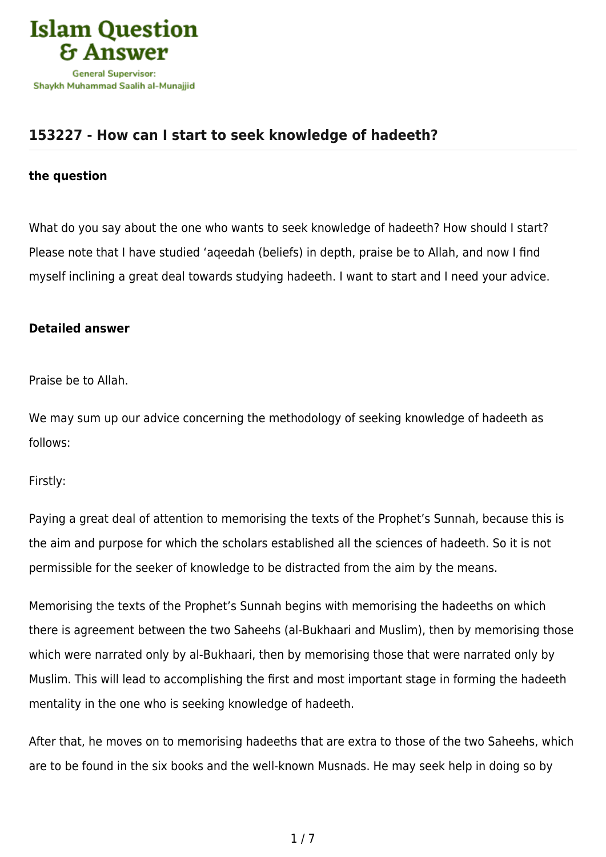

## **[153227 - How can I start to seek knowledge of hadeeth?](https://islamqa.com/en/answers/153227/how-can-i-start-to-seek-knowledge-of-hadeeth)**

## **the question**

What do you say about the one who wants to seek knowledge of hadeeth? How should I start? Please note that I have studied 'aqeedah (beliefs) in depth, praise be to Allah, and now I find myself inclining a great deal towards studying hadeeth. I want to start and I need your advice.

## **Detailed answer**

Praise be to Allah.

We may sum up our advice concerning the methodology of seeking knowledge of hadeeth as follows:

Firstly:

Paying a great deal of attention to memorising the texts of the Prophet's Sunnah, because this is the aim and purpose for which the scholars established all the sciences of hadeeth. So it is not permissible for the seeker of knowledge to be distracted from the aim by the means.

Memorising the texts of the Prophet's Sunnah begins with memorising the hadeeths on which there is agreement between the two Saheehs (al-Bukhaari and Muslim), then by memorising those which were narrated only by al-Bukhaari, then by memorising those that were narrated only by Muslim. This will lead to accomplishing the first and most important stage in forming the hadeeth mentality in the one who is seeking knowledge of hadeeth.

After that, he moves on to memorising hadeeths that are extra to those of the two Saheehs, which are to be found in the six books and the well-known Musnads. He may seek help in doing so by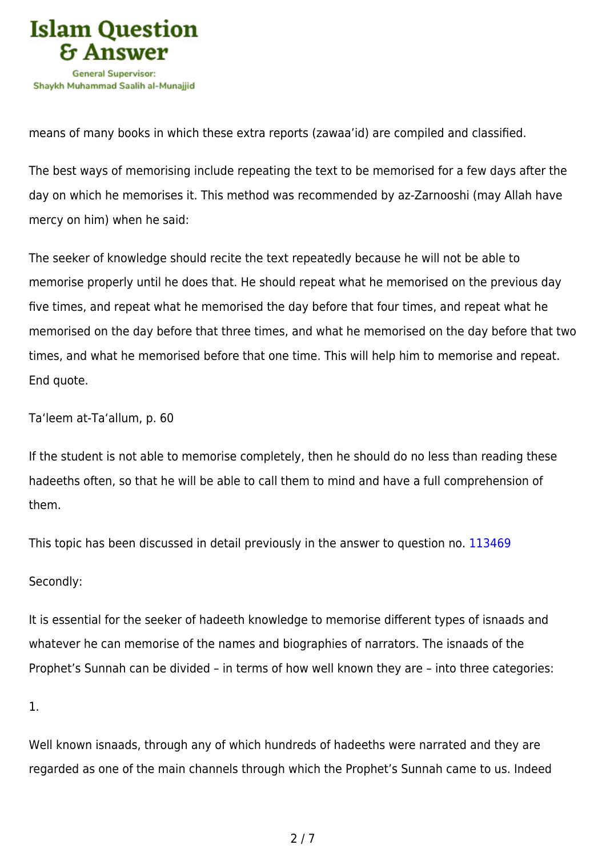

means of many books in which these extra reports (zawaa'id) are compiled and classified.

The best ways of memorising include repeating the text to be memorised for a few days after the day on which he memorises it. This method was recommended by az-Zarnooshi (may Allah have mercy on him) when he said:

The seeker of knowledge should recite the text repeatedly because he will not be able to memorise properly until he does that. He should repeat what he memorised on the previous day five times, and repeat what he memorised the day before that four times, and repeat what he memorised on the day before that three times, and what he memorised on the day before that two times, and what he memorised before that one time. This will help him to memorise and repeat. End quote.

Ta'leem at-Ta'allum, p. 60

If the student is not able to memorise completely, then he should do no less than reading these hadeeths often, so that he will be able to call them to mind and have a full comprehension of them.

This topic has been discussed in detail previously in the answer to question no. [113469](https://islamqa.com/ar/answers/)

Secondly:

It is essential for the seeker of hadeeth knowledge to memorise different types of isnaads and whatever he can memorise of the names and biographies of narrators. The isnaads of the Prophet's Sunnah can be divided – in terms of how well known they are – into three categories:

1.

Well known isnaads, through any of which hundreds of hadeeths were narrated and they are regarded as one of the main channels through which the Prophet's Sunnah came to us. Indeed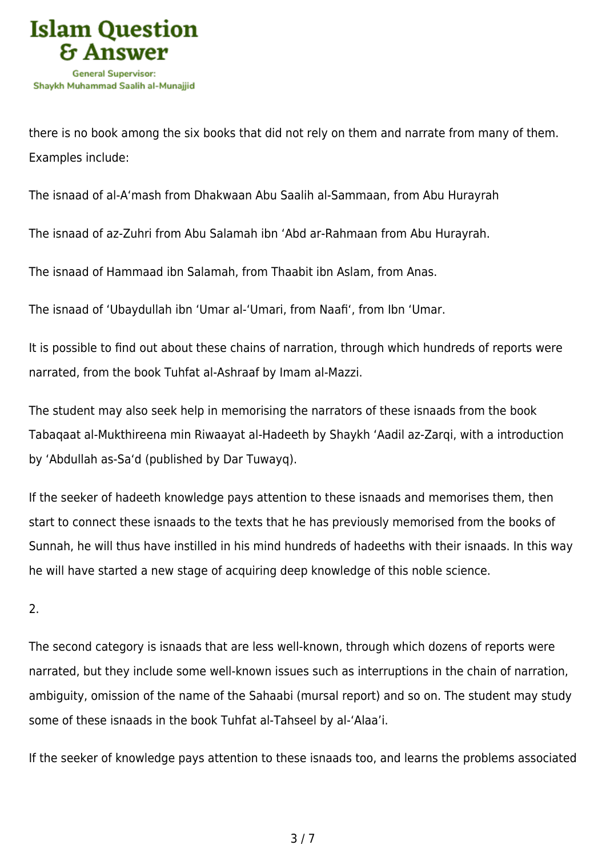

there is no book among the six books that did not rely on them and narrate from many of them. Examples include:

The isnaad of al-A'mash from Dhakwaan Abu Saalih al-Sammaan, from Abu Hurayrah

The isnaad of az-Zuhri from Abu Salamah ibn 'Abd ar-Rahmaan from Abu Hurayrah.

The isnaad of Hammaad ibn Salamah, from Thaabit ibn Aslam, from Anas.

The isnaad of 'Ubaydullah ibn 'Umar al-'Umari, from Naafi', from Ibn 'Umar.

It is possible to find out about these chains of narration, through which hundreds of reports were narrated, from the book Tuhfat al-Ashraaf by Imam al-Mazzi.

The student may also seek help in memorising the narrators of these isnaads from the book Tabaqaat al-Mukthireena min Riwaayat al-Hadeeth by Shaykh 'Aadil az-Zarqi, with a introduction by 'Abdullah as-Sa'd (published by Dar Tuwayq).

If the seeker of hadeeth knowledge pays attention to these isnaads and memorises them, then start to connect these isnaads to the texts that he has previously memorised from the books of Sunnah, he will thus have instilled in his mind hundreds of hadeeths with their isnaads. In this way he will have started a new stage of acquiring deep knowledge of this noble science.

2.

The second category is isnaads that are less well-known, through which dozens of reports were narrated, but they include some well-known issues such as interruptions in the chain of narration, ambiguity, omission of the name of the Sahaabi (mursal report) and so on. The student may study some of these isnaads in the book Tuhfat al-Tahseel by al-'Alaa'i.

If the seeker of knowledge pays attention to these isnaads too, and learns the problems associated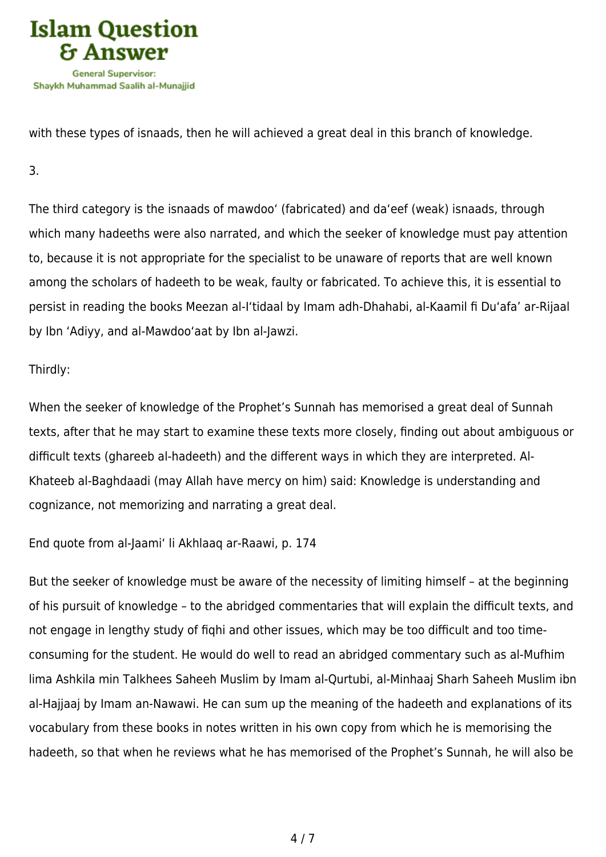

with these types of isnaads, then he will achieved a great deal in this branch of knowledge.

3.

The third category is the isnaads of mawdoo' (fabricated) and da'eef (weak) isnaads, through which many hadeeths were also narrated, and which the seeker of knowledge must pay attention to, because it is not appropriate for the specialist to be unaware of reports that are well known among the scholars of hadeeth to be weak, faulty or fabricated. To achieve this, it is essential to persist in reading the books Meezan al-I'tidaal by Imam adh-Dhahabi, al-Kaamil fi Du'afa' ar-Rijaal by Ibn 'Adiyy, and al-Mawdoo'aat by Ibn al-Jawzi.

Thirdly:

When the seeker of knowledge of the Prophet's Sunnah has memorised a great deal of Sunnah texts, after that he may start to examine these texts more closely, finding out about ambiguous or difficult texts (ghareeb al-hadeeth) and the different ways in which they are interpreted. Al-Khateeb al-Baghdaadi (may Allah have mercy on him) said: Knowledge is understanding and cognizance, not memorizing and narrating a great deal.

End quote from al-Jaami' li Akhlaaq ar-Raawi, p. 174

But the seeker of knowledge must be aware of the necessity of limiting himself – at the beginning of his pursuit of knowledge – to the abridged commentaries that will explain the difficult texts, and not engage in lengthy study of fiqhi and other issues, which may be too difficult and too timeconsuming for the student. He would do well to read an abridged commentary such as al-Mufhim lima Ashkila min Talkhees Saheeh Muslim by Imam al-Qurtubi, al-Minhaaj Sharh Saheeh Muslim ibn al-Hajjaaj by Imam an-Nawawi. He can sum up the meaning of the hadeeth and explanations of its vocabulary from these books in notes written in his own copy from which he is memorising the hadeeth, so that when he reviews what he has memorised of the Prophet's Sunnah, he will also be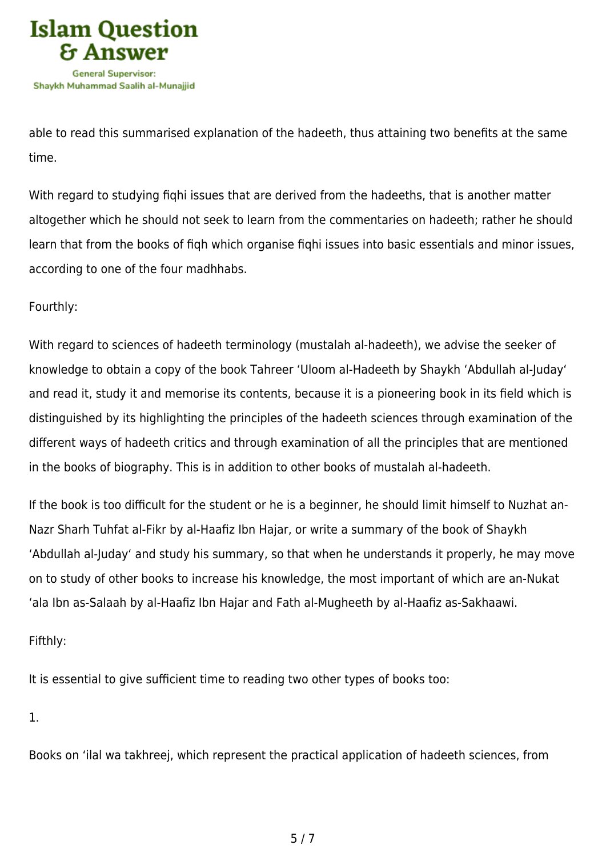

able to read this summarised explanation of the hadeeth, thus attaining two benefits at the same time.

With regard to studying fiqhi issues that are derived from the hadeeths, that is another matter altogether which he should not seek to learn from the commentaries on hadeeth; rather he should learn that from the books of fiqh which organise fiqhi issues into basic essentials and minor issues, according to one of the four madhhabs.

## Fourthly:

With regard to sciences of hadeeth terminology (mustalah al-hadeeth), we advise the seeker of knowledge to obtain a copy of the book Tahreer 'Uloom al-Hadeeth by Shaykh 'Abdullah al-Juday' and read it, study it and memorise its contents, because it is a pioneering book in its field which is distinguished by its highlighting the principles of the hadeeth sciences through examination of the different ways of hadeeth critics and through examination of all the principles that are mentioned in the books of biography. This is in addition to other books of mustalah al-hadeeth.

If the book is too difficult for the student or he is a beginner, he should limit himself to Nuzhat an-Nazr Sharh Tuhfat al-Fikr by al-Haafiz Ibn Hajar, or write a summary of the book of Shaykh 'Abdullah al-Juday' and study his summary, so that when he understands it properly, he may move on to study of other books to increase his knowledge, the most important of which are an-Nukat 'ala Ibn as-Salaah by al-Haafiz Ibn Hajar and Fath al-Mugheeth by al-Haafiz as-Sakhaawi.

Fifthly:

It is essential to give sufficient time to reading two other types of books too:

1.

Books on 'ilal wa takhreej, which represent the practical application of hadeeth sciences, from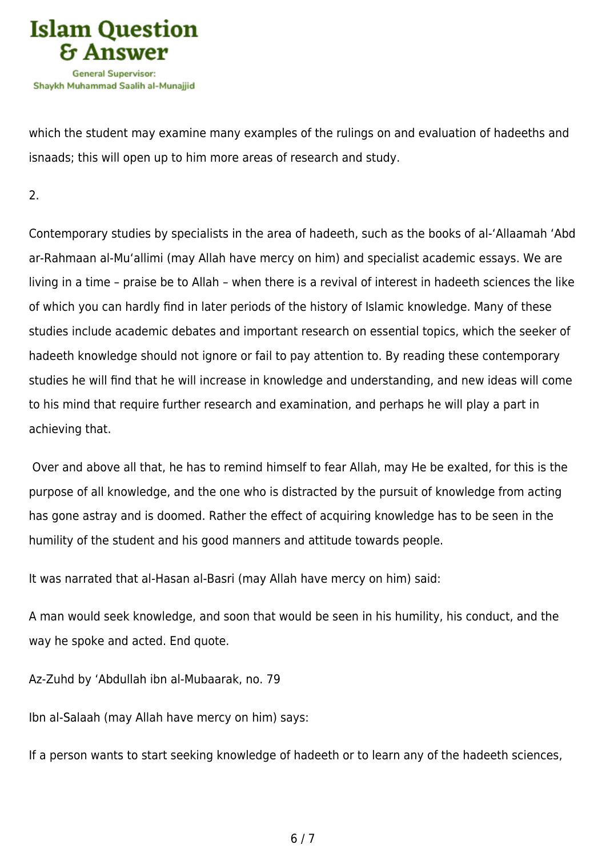

which the student may examine many examples of the rulings on and evaluation of hadeeths and isnaads; this will open up to him more areas of research and study.

2.

Contemporary studies by specialists in the area of hadeeth, such as the books of al-'Allaamah 'Abd ar-Rahmaan al-Mu'allimi (may Allah have mercy on him) and specialist academic essays. We are living in a time – praise be to Allah – when there is a revival of interest in hadeeth sciences the like of which you can hardly find in later periods of the history of Islamic knowledge. Many of these studies include academic debates and important research on essential topics, which the seeker of hadeeth knowledge should not ignore or fail to pay attention to. By reading these contemporary studies he will find that he will increase in knowledge and understanding, and new ideas will come to his mind that require further research and examination, and perhaps he will play a part in achieving that.

 Over and above all that, he has to remind himself to fear Allah, may He be exalted, for this is the purpose of all knowledge, and the one who is distracted by the pursuit of knowledge from acting has gone astray and is doomed. Rather the effect of acquiring knowledge has to be seen in the humility of the student and his good manners and attitude towards people.

It was narrated that al-Hasan al-Basri (may Allah have mercy on him) said:

A man would seek knowledge, and soon that would be seen in his humility, his conduct, and the way he spoke and acted. End quote.

Az-Zuhd by 'Abdullah ibn al-Mubaarak, no. 79

Ibn al-Salaah (may Allah have mercy on him) says:

If a person wants to start seeking knowledge of hadeeth or to learn any of the hadeeth sciences,